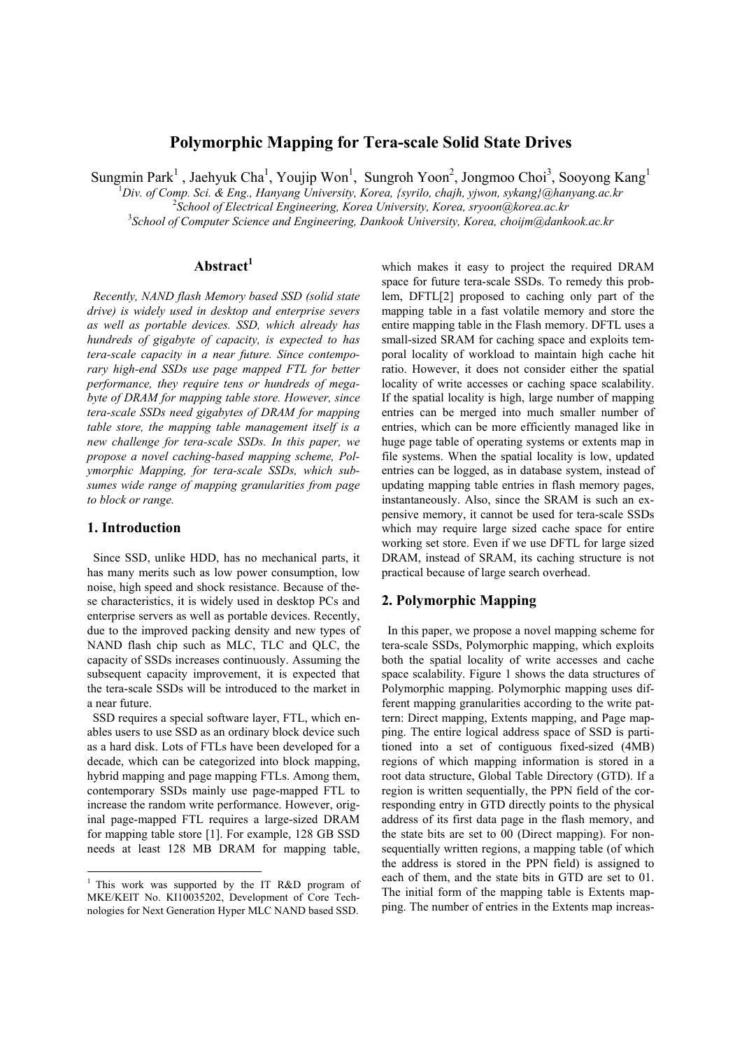## **Polymorphic Mapping for Tera-scale Solid State Drives**

Sungmin Park<sup>1</sup>, Jaehyuk Cha<sup>1</sup>, Youjip Won<sup>1</sup>, Sungroh Yoon<sup>2</sup>, Jongmoo Choi<sup>3</sup>, Sooyong Kang<sup>1</sup>

1 *Div. of Comp. Sci. & Eng., Hanyang University, Korea, {syrilo, chajh, yjwon, sykang}@hanyang.ac.kr* 

2 *School of Electrical Engineering, Korea University, Korea, sryoon@korea.ac.kr* 

3 *School of Computer Science and Engineering, Dankook University, Korea, choijm@dankook.ac.kr* 

# **Abstract<sup>1</sup>**

*Recently, NAND flash Memory based SSD (solid state drive) is widely used in desktop and enterprise severs as well as portable devices. SSD, which already has hundreds of gigabyte of capacity, is expected to has tera-scale capacity in a near future. Since contemporary high-end SSDs use page mapped FTL for better performance, they require tens or hundreds of megabyte of DRAM for mapping table store. However, since tera-scale SSDs need gigabytes of DRAM for mapping table store, the mapping table management itself is a new challenge for tera-scale SSDs. In this paper, we propose a novel caching-based mapping scheme, Polymorphic Mapping, for tera-scale SSDs, which subsumes wide range of mapping granularities from page to block or range.* 

## **1. Introduction**

-

Since SSD, unlike HDD, has no mechanical parts, it has many merits such as low power consumption, low noise, high speed and shock resistance. Because of these characteristics, it is widely used in desktop PCs and enterprise servers as well as portable devices. Recently, due to the improved packing density and new types of NAND flash chip such as MLC, TLC and QLC, the capacity of SSDs increases continuously. Assuming the subsequent capacity improvement, it is expected that the tera-scale SSDs will be introduced to the market in a near future.

SSD requires a special software layer, FTL, which enables users to use SSD as an ordinary block device such as a hard disk. Lots of FTLs have been developed for a decade, which can be categorized into block mapping, hybrid mapping and page mapping FTLs. Among them, contemporary SSDs mainly use page-mapped FTL to increase the random write performance. However, original page-mapped FTL requires a large-sized DRAM for mapping table store [1]. For example, 128 GB SSD needs at least 128 MB DRAM for mapping table,

which makes it easy to project the required DRAM space for future tera-scale SSDs. To remedy this problem, DFTL[2] proposed to caching only part of the mapping table in a fast volatile memory and store the entire mapping table in the Flash memory. DFTL uses a small-sized SRAM for caching space and exploits temporal locality of workload to maintain high cache hit ratio. However, it does not consider either the spatial locality of write accesses or caching space scalability. If the spatial locality is high, large number of mapping entries can be merged into much smaller number of entries, which can be more efficiently managed like in huge page table of operating systems or extents map in file systems. When the spatial locality is low, updated entries can be logged, as in database system, instead of updating mapping table entries in flash memory pages, instantaneously. Also, since the SRAM is such an expensive memory, it cannot be used for tera-scale SSDs which may require large sized cache space for entire working set store. Even if we use DFTL for large sized DRAM, instead of SRAM, its caching structure is not practical because of large search overhead.

#### **2. Polymorphic Mapping**

In this paper, we propose a novel mapping scheme for tera-scale SSDs, Polymorphic mapping, which exploits both the spatial locality of write accesses and cache space scalability. Figure 1 shows the data structures of Polymorphic mapping. Polymorphic mapping uses different mapping granularities according to the write pattern: Direct mapping, Extents mapping, and Page mapping. The entire logical address space of SSD is partitioned into a set of contiguous fixed-sized (4MB) regions of which mapping information is stored in a root data structure, Global Table Directory (GTD). If a region is written sequentially, the PPN field of the corresponding entry in GTD directly points to the physical address of its first data page in the flash memory, and the state bits are set to 00 (Direct mapping). For nonsequentially written regions, a mapping table (of which the address is stored in the PPN field) is assigned to each of them, and the state bits in GTD are set to 01. The initial form of the mapping table is Extents mapping. The number of entries in the Extents map increas-

<sup>&</sup>lt;sup>1</sup> This work was supported by the IT R&D program of MKE/KEIT No. KI10035202, Development of Core Technologies for Next Generation Hyper MLC NAND based SSD.